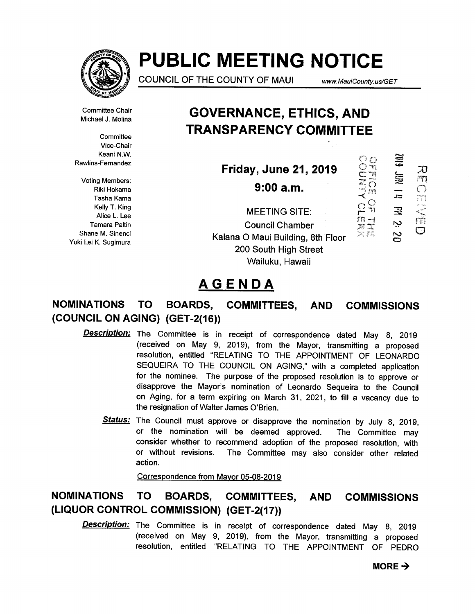

# PUBLIC MEETING NOTICE

COUNCIL OF THE COUNTY OF MAUI www.MauiCounty. us/GET

 $\Omega_n^Q$ 

æä 六四

JHH ALINNO

 $\mathbb{F}^n$ 

NOL ONI

---<br>53

宝 ب

in

Ch<sub>11</sub>

 $\overline{C}$ 

 $\circ$ 

Committee Chair Michael J. Molina

**Committee** Vice-Chair Keani N.W. Rawlins-Fernandez

Voting Members: Riki Hokama Tasha Kama Kelly T. King Alice L. Lee Tamara Paltin Shane M. Sinenci Yuki Lei K. Sugimura

GOVERNANCE, ETHICS, AND TRANSPARENCY COMMITTEE

Friday, June 21, 2019

9:00a.m.

MEETING SITE:  $\widetilde{r}^2$ Council Chamber Kalana 0 Maui Building, 8th Floor 200 South High Street Wailuku, Hawaii

# AGENDA

# NOMINATIONS TO BOARDS, COMMITTEES, AND COMMISSIONS (COUNCIL ON AGING) (GET-2(16))

- Description: The Committee is in receipt of correspondence dated May 8, 2019 (received on May 9, 2019), from the Mayor, transmitting a proposed resolution, entitled "RELATING TO THE APPOINTMENT OF LEONARDO SEQUEIRA TO THE COUNCIL ON AGING," with a completed application for the nominee. The purpose of the proposed resolution is to approve or disapprove the Mayor's nomination of Leonardo Sequeira to the Council on Aging, for a term expiring on March 31, 2021, to fill a vacancy due to the resignation of Walter James O'Brien.
	- Status: The Council must approve or disapprove the nomination by July 8, 2019, or the nomination will be deemed approved. The Committee may consider whether to recommend adoption of the proposed resolution, with or without revisions. The Committee may also consider other related action.

Correspondence from Mayor 05-08-2019

# NOMINATIONS TO BOARDS, COMMITTEES, AND COMMISSIONS (LIQUOR CONTROL COMMISSION) (GET-2(17))

**Description:** The Committee is in receipt of correspondence dated May 8, 2019 (received on May 9, 2019), from the Mayor, transmitting a proposed resolution, entitled "RELATING TO THE APPOINTMENT OF PEDRO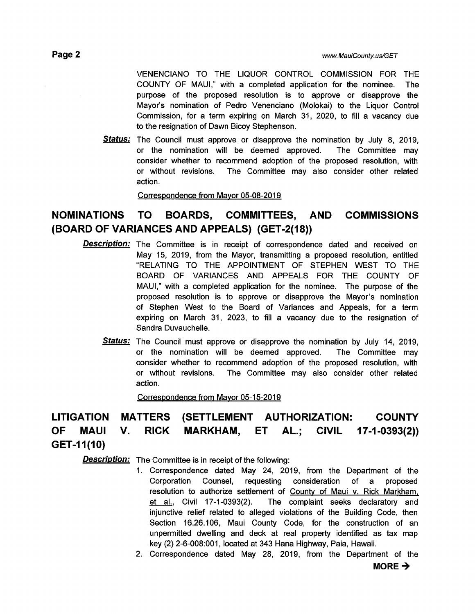VENENCIANO TO THE LIQUOR CONTROL COMMISSION FOR THE COUNTY OF MAUI," with a completed application for the nominee. The purpose of the proposed resolution is to approve or disapprove the Mayor's nomination of Pedro Venenciano (Molokai) to the Liquor Control Commission, for a term expiring on March 31, 2020, to fill a vacancy due to the resignation of Dawn Bicoy Stephenson.

**Status:** The Council must approve or disapprove the nomination by July 8, 2019, or the nomination will be deemed approved. The Committee may consider whether to recommend adoption of the proposed resolution, with or without revisions. The Committee may also consider other related action.

Correspondence from Mayor 05-08-2019

### NOMINATIONS TO BOARDS, COMMITTEES, AND COMMISSIONS (BOARD OF VARIANCES AND APPEALS) (GET-2(18))

- **Description:** The Committee is in receipt of correspondence dated and received on May 15, 2019, from the Mayor, transmitting a proposed resolution, entitled "RELATING TO THE APPOINTMENT OF STEPHEN WEST TO THE BOARD OF VARIANCES AND APPEALS FOR THE COUNTY OF MAUI," with a completed application for the nominee. The purpose of the proposed resolution is to approve or disapprove the Mayor's nomination of Stephen West to the Board of Variances and Appeals, for a term expiring on March 31, 2023, to fill a vacancy due to the resignation of Sandra Duvauchelle.
	- Status: The Council must approve or disapprove the nomination by July 14, 2019, or the nomination will be deemed approved. The Committee may consider whether to recommend adoption of the proposed resolution, with or without revisions. The Committee may also consider other related action.

Correspondence from Mayor 05-15-2019

# LITIGATION MATTERS (SETTLEMENT AUTHORIZATION: COUNTY OF MAUI V. RICK MARKHAM, ET AL.; CIVIL 17-1-0393(2)) GET-11(10)

**Description:** The Committee is in receipt of the following:

- 1. Correspondence dated May 24, 2019, from the Department of the Corporation Counsel, requesting consideration of a proposed resolution to authorize settlement of County of Maui v. Rick Markham, et al., Civil 17-1-0393(2). The complaint seeks declaratory and injunctive relief related to alleged violations of the Building Code, then Section 16.26.106, Maui County Code, for the construction of an unpermitted dwelling and deck at real property identified as tax map key (2) 2-6-008:001, located at 343 Hana Highway, Paia, Hawaii.
- 2. Correspondence dated May 28, 2019, from the Department of the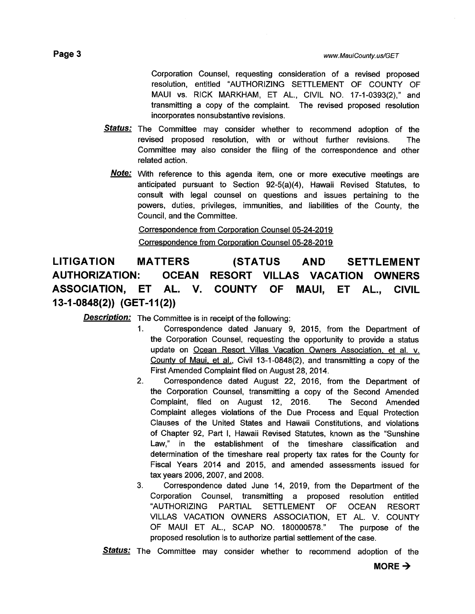Corporation Counsel, requesting consideration of a revised proposed resolution, entitled "AUTHORIZING SETTLEMENT OF COUNTY OF MAUI vs. RICK MARKHAM, ET AL., CIVIL NO. 17-1-0393(2)," and transmitting a copy of the complaint. The revised proposed resolution incorporates nonsubstantive revisions.

- Status: The Committee may consider whether to recommend adoption of the revised proposed resolution, with or without further revisions. The Committee may also consider the filing of the correspondence and other related action.
	- Note: With reference to this agenda item, one or more executive meetings are anticipated pursuant to Section 92-5(a)(4), Hawaii Revised Statutes, to consult with legal counsel on questions and issues pertaining to the powers, duties, privileges, immunities, and liabilities of the County, the Council, and the Committee.

Correspondence from Corporation Counsel 05-24-2019 Correspondence from Corporation Counsel 05-28-2019

# LITIGATION MATTERS (STATUS AND SETTLEMENT AUTHORIZATION: OCEAN RESORT VILLAS VACATION OWNERS ASSOCIATION, ET AL. V. COUNTY OF MAUI, ET AL., CIVIL 13-1-0848(2)) (GET-I 1(2))

**Description:** The Committee is in receipt of the following:

- 1. Correspondence dated January 9, 2015, from the Department of the Corporation Counsel, requesting the opportunity to provide a status update on Ocean Resort Villas Vacation Owners Association, et al. v. County of Maui, et al., Civil 13-1-0848(2), and transmitting a copy of the First Amended Complaint filed on August 28, 2014.
- 2. Correspondence dated August 22, 2016, from the Department of the Corporation Counsel, transmitting a copy of the Second Amended Complaint, filed on August 12, 2016. The Second Amended Complaint alleges violations of the Due Process and Equal Protection Clauses of the United States and Hawaii Constitutions, and violations of Chapter 92, Part I, Hawaii Revised Statutes, known as the "Sunshine Law," in the establishment of the timeshare classification and determination of the timeshare real property tax rates for the County for Fiscal Years 2014 and 2015, and amended assessments issued for tax years 2006, 2007, and 2008.
- 3. Correspondence dated June 14, 2019, from the Department of the Corporation Counsel, transmitting a proposed resolution entitled "AUTHORIZING PARTIAL SETTLEMENT OF OCEAN RESORT VILLAS VACATION OWNERS ASSOCIATION, ET AL. V. COUNTY OF MAUI ET AL., SCAP NO. 180000578." The purpose of the proposed resolution is to authorize partial settlement of the case.

**Status:** The Committee may consider whether to recommend adoption of the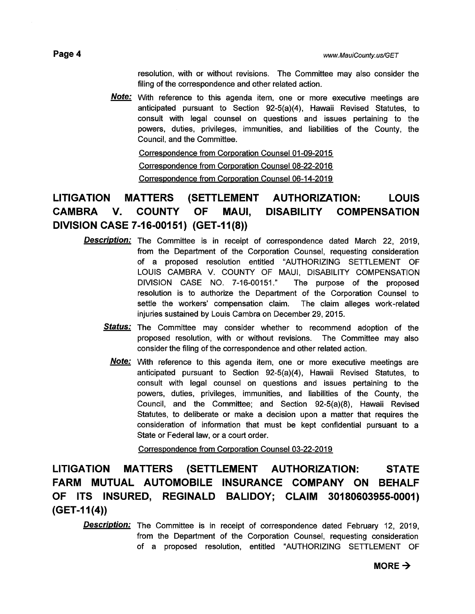resolution, with or without revisions. The Committee may also consider the filing of the correspondence and other related action.

Note: With reference to this agenda item, one or more executive meetings are anticipated pursuant to Section 92-5(a)(4), Hawaii Revised Statutes, to consult with legal counsel on questions and issues pertaining to the powers, duties, privileges, immunities, and liabilities of the County, the Council, and the Committee.

Correspondence from Corporation Counsel 01-09-2015 Correspondence from Corporation Counsel 08-22-2016 Correspondence from Corporation Counsel 06-14-2019

## LITIGATION MATTERS (SETTLEMENT AUTHORIZATION: LOUIS CAMBRA V. COUNTY OF MAUI, DISABILITY COMPENSATION DIVISION CASE 7-16-00151) (GET-I 1(8))

- **Description:** The Committee is in receipt of correspondence dated March 22, 2019, from the Department of the Corporation Counsel, requesting consideration of a proposed resolution entitled 'AUTHORIZING SETTLEMENT OF LOUIS CAMBRA V. COUNTY OF MAUI, DISABILITY COMPENSATION DIVISION CASE NO. 7-16-00151." The purpose of the proposed resolution is to authorize the Department of the Corporation Counsel to settle the workers' compensation claim. The claim alleges work-related injuries sustained by Louis Cambra on December 29, 2015.
	- Status: The Committee may consider whether to recommend adoption of the proposed resolution, with or without revisions. The Committee may also consider the filing of the correspondence and other related action.
		- **Note:** With reference to this agenda item, one or more executive meetings are anticipated pursuant to Section 92-5(a)(4), Hawaii Revised Statutes, to consult with legal counsel on questions and issues pertaining to the powers, duties, privileges, immunities, and liabilities of the County, the Council, and the Committee; and Section 92-5(a)(8), Hawaii Revised Statutes, to deliberate or make a decision upon a matter that requires the consideration of information that must be kept confidential pursuant to a State or Federal law, or a court order.

Correspondence from Corporation Counsel 03-22-2019

LITIGATION MATTERS (SETTLEMENT AUTHORIZATION: STATE FARM MUTUAL AUTOMOBILE INSURANCE COMPANY ON BEHALF OF ITS INSURED, REGINALD BALIDOY; CLAIM 301 80603955-0001)  $(GET-11(4))$ 

**Description:** The Committee is in receipt of correspondence dated February 12, 2019, from the Department of the Corporation Counsel, requesting consideration of a proposed resolution, entitled "AUTHORIZING SETTLEMENT OF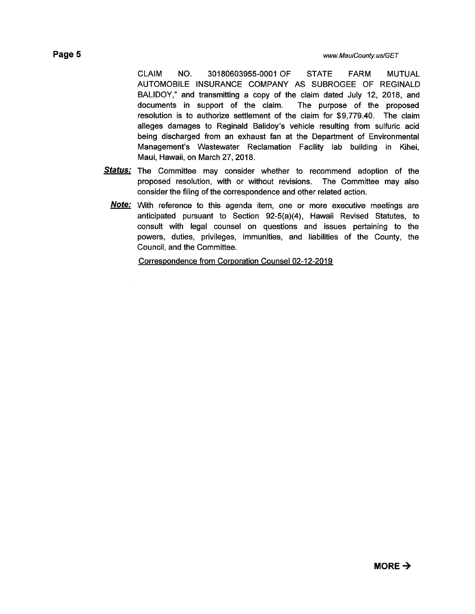CLAIM NO. 30180603955-0001 OF STATE FARM MUTUAL AUTOMOBILE INSURANCE COMPANY AS SUBROGEE OF REGINALD BALIDOY," and transmitting a copy of the claim dated July 12, 2018, and documents in support of the claim. The purpose of the proposed resolution is to authorize settlement of the claim for \$9,779.40. The claim alleges damages to Reginald Balidoy's vehicle resulting from sulfuric acid being discharged from an exhaust fan at the Department of Environmental Management's Wastewater Reclamation Facility lab building in Kihei, Maui, Hawaii, on March 27, 2018.

- Status: The Committee may consider whether to recommend adoption of the proposed resolution, with or without revisions. The Committee may also consider the filing of the correspondence and other related action.
	- **Note:** With reference to this agenda item, one or more executive meetings are anticipated pursuant to Section 92-5(a)(4), Hawaii Revised Statutes, to consult with legal counsel on questions and issues pertaining to the powers, duties, privileges, immunities, and liabilities of the County, the Council, and the Committee.

Correspondence from Corporation Counsel 02-12-2019